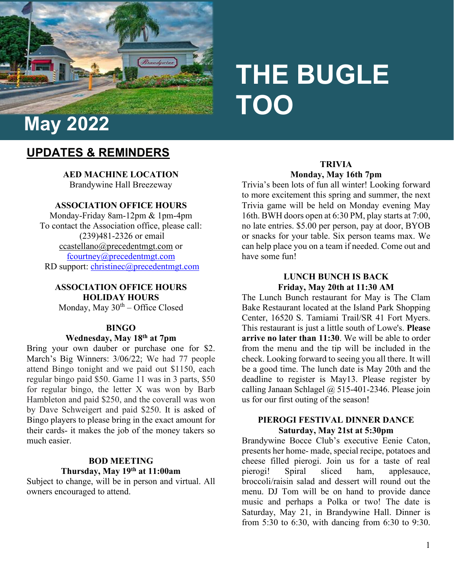

# **THE BUGLE TOO**

# **UPDATES & REMINDERS**

**AED MACHINE LOCATION**  Brandywine Hall Breezeway

**ASSOCIATION OFFICE HOURS**

Monday-Friday 8am-12pm & 1pm-4pm To contact the Association office, please call: (239)481-2326 or email [ccastellano@precedentmgt.com](mailto:ccastellano@precedentmgt.com) or [fcourtney@precedentmgt.com](mailto:fcourtney@precedentmgt.com) RD support: [christinec@precedentmgt.com](mailto:christinec@precedentmgt.com)

# **ASSOCIATION OFFICE HOURS HOLIDAY HOURS**

Monday, May  $30<sup>th</sup> -$  Office Closed

# **BINGO**

# **Wednesday, May 18th at 7pm**

Bring your own dauber or purchase one for \$2. March's Big Winners: 3/06/22; We had 77 people attend Bingo tonight and we paid out \$1150, each regular bingo paid \$50. Game 11 was in 3 parts, \$50 for regular bingo, the letter X was won by Barb Hambleton and paid \$250, and the coverall was won by Dave Schweigert and paid \$250. It is asked of Bingo players to please bring in the exact amount for their cards- it makes the job of the money takers so much easier.

# **BOD MEETING Thursday, May 19th at 11:00am**

Subject to change, will be in person and virtual. All owners encouraged to attend.

# **TRIVIA Monday, May 16th 7pm**

Trivia's been lots of fun all winter! Looking forward to more excitement this spring and summer, the next Trivia game will be held on Monday evening May 16th. BWH doors open at 6:30 PM, play starts at 7:00, no late entries. \$5.00 per person, pay at door, BYOB or snacks for your table. Six person teams max. We can help place you on a team if needed. Come out and have some fun!

# **LUNCH BUNCH IS BACK Friday, May 20th at 11:30 AM**

The Lunch Bunch restaurant for May is The Clam Bake Restaurant located at the Island Park Shopping Center, 16520 S. Tamiami Trail/SR 41 Fort Myers. This restaurant is just a little south of Lowe's. **Please arrive no later than 11:30**. We will be able to order from the menu and the tip will be included in the check. Looking forward to seeing you all there. It will be a good time. The lunch date is May 20th and the deadline to register is May13. Please register by calling Janaan Schlagel  $\omega$  515-401-2346. Please join us for our first outing of the season!

#### **PIEROGI FESTIVAL DINNER DANCE Saturday, May 21st at 5:30pm**

Brandywine Bocce Club's executive Eenie Caton, presents her home- made, special recipe, potatoes and cheese filled pierogi. Join us for a taste of real<br>pierogi! Spiral sliced ham. applesauce. pierogi! Spiral sliced ham, applesauce, broccoli/raisin salad and dessert will round out the menu. DJ Tom will be on hand to provide dance music and perhaps a Polka or two! The date is Saturday, May 21, in Brandywine Hall. Dinner is from 5:30 to 6:30, with dancing from 6:30 to 9:30.